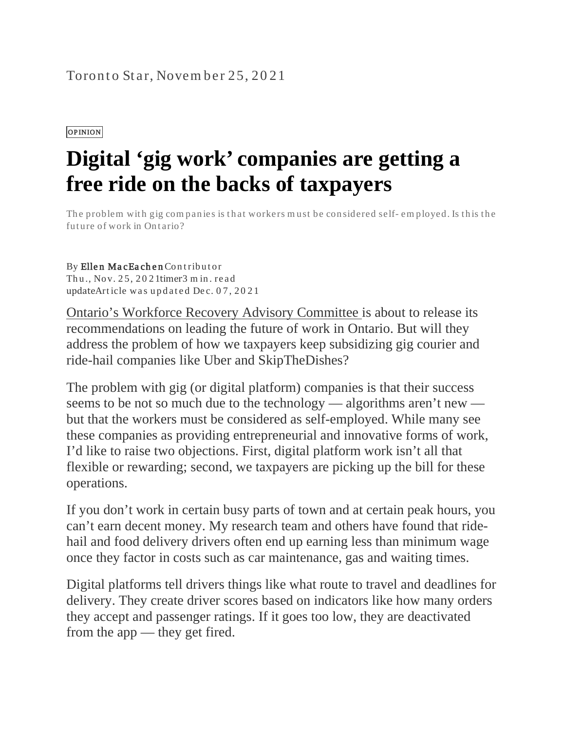## Toronto Star, November 25, 202[1](https://www.thestar.com/opinion/contributors.html)

## OPINION

## **Digital 'gig work' companies are getting a free ride on the backs of taxpayers**

The problem with gig companies is that workers must be considered self- employed. Is this the future of work in Ontario?

## By Ellen MacEachen Contributor Thu., Nov. 25, 20 21timer3 m in. read updateArticle was updated Dec.  $07, 2021$

[Ontario's Workforce Recovery Advisory Committee](https://www.thestar.com/opinion/contributors/2021/11/25/digital-gig-work-companies-are-getting-a-free-ride-on-the-backs-of-taxpayers.html) is about to release its recommendations on leading the future of work in Ontario. But will they address the problem of how we taxpayers keep subsidizing gig courier and ride-hail companies like Uber and SkipTheDishes?

The problem with gig (or digital platform) companies is that their success seems to be not so much due to the technology — algorithms aren't new but that the workers must be considered as self-employed. While many see these companies as providing entrepreneurial and innovative forms of work, I'd like to raise two objections. First, digital platform work isn't all that flexible or rewarding; second, we taxpayers are picking up the bill for these operations.

If you don't work in certain busy parts of town and at certain peak hours, you can't earn decent money. My research team and others have found that ridehail and food delivery drivers often end up earning less than minimum wage once they factor in costs such as car maintenance, gas and waiting times.

Digital platforms tell drivers things like what route to travel and deadlines for delivery. They create driver scores based on indicators like how many orders they accept and passenger ratings. If it goes too low, they are deactivated from the app — they get fired.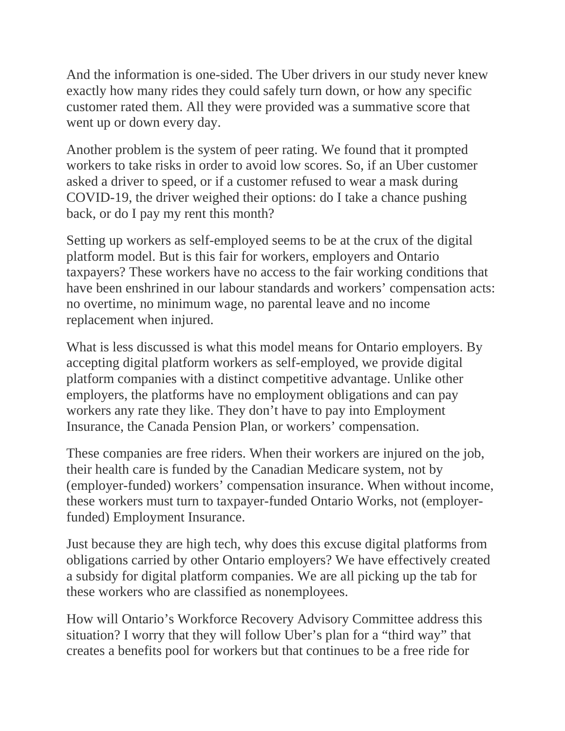And the information is one-sided. The Uber drivers in our study never knew exactly how many rides they could safely turn down, or how any specific customer rated them. All they were provided was a summative score that went up or down every day.

Another problem is the system of peer rating. We found that it prompted workers to take risks in order to avoid low scores. So, if an Uber customer asked a driver to speed, or if a customer refused to wear a mask during COVID-19, the driver weighed their options: do I take a chance pushing back, or do I pay my rent this month?

Setting up workers as self-employed seems to be at the crux of the digital platform model. But is this fair for workers, employers and Ontario taxpayers? These workers have no access to the fair working conditions that have been enshrined in our labour standards and workers' compensation acts: no overtime, no minimum wage, no parental leave and no income replacement when injured.

What is less discussed is what this model means for Ontario employers. By accepting digital platform workers as self-employed, we provide digital platform companies with a distinct competitive advantage. Unlike other employers, the platforms have no employment obligations and can pay workers any rate they like. They don't have to pay into Employment Insurance, the Canada Pension Plan, or workers' compensation.

These companies are free riders. When their workers are injured on the job, their health care is funded by the Canadian Medicare system, not by (employer-funded) workers' compensation insurance. When without income, these workers must turn to taxpayer-funded Ontario Works, not (employerfunded) Employment Insurance.

Just because they are high tech, why does this excuse digital platforms from obligations carried by other Ontario employers? We have effectively created a subsidy for digital platform companies. We are all picking up the tab for these workers who are classified as nonemployees.

How will Ontario's Workforce Recovery Advisory Committee address this situation? I worry that they will follow Uber's plan for a "third way" that creates a benefits pool for workers but that continues to be a free ride for